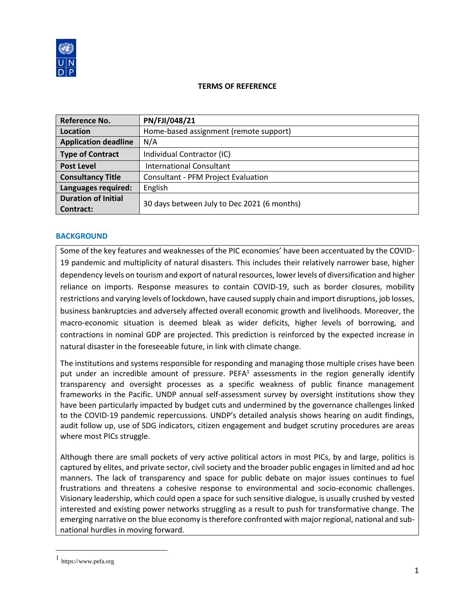

#### **TERMS OF REFERENCE**

| <b>Reference No.</b>        | PN/FJI/048/21                               |
|-----------------------------|---------------------------------------------|
| Location                    | Home-based assignment (remote support)      |
| <b>Application deadline</b> | N/A                                         |
| <b>Type of Contract</b>     | Individual Contractor (IC)                  |
| <b>Post Level</b>           | <b>International Consultant</b>             |
| <b>Consultancy Title</b>    | <b>Consultant - PFM Project Evaluation</b>  |
| Languages required:         | English                                     |
| <b>Duration of Initial</b>  |                                             |
| Contract:                   | 30 days between July to Dec 2021 (6 months) |

## **BACKGROUND**

Some of the key features and weaknesses of the PIC economies' have been accentuated by the COVID-19 pandemic and multiplicity of natural disasters. This includes their relatively narrower base, higher dependency levels on tourism and export of natural resources, lower levels of diversification and higher reliance on imports. Response measures to contain COVID-19, such as border closures, mobility restrictions and varying levels of lockdown, have caused supply chain and import disruptions, job losses, business bankruptcies and adversely affected overall economic growth and livelihoods. Moreover, the macro-economic situation is deemed bleak as wider deficits, higher levels of borrowing, and contractions in nominal GDP are projected. This prediction is reinforced by the expected increase in natural disaster in the foreseeable future, in link with climate change.

The institutions and systems responsible for responding and managing those multiple crises have been put under an incredible amount of pressure. PEFA $<sup>1</sup>$  assessments in the region generally identify</sup> transparency and oversight processes as a specific weakness of public finance management frameworks in the Pacific. UNDP annual self-assessment survey by oversight institutions show they have been particularly impacted by budget cuts and undermined by the governance challenges linked to the COVID-19 pandemic repercussions. UNDP's detailed analysis shows hearing on audit findings, audit follow up, use of SDG indicators, citizen engagement and budget scrutiny procedures are areas where most PICs struggle.

Although there are small pockets of very active political actors in most PICs, by and large, politics is captured by elites, and private sector, civil society and the broader public engages in limited and ad hoc manners. The lack of transparency and space for public debate on major issues continues to fuel frustrations and threatens a cohesive response to environmental and socio-economic challenges. Visionary leadership, which could open a space for such sensitive dialogue, is usually crushed by vested interested and existing power networks struggling as a result to push for transformative change. The emerging narrative on the blue economy is therefore confronted with major regional, national and subnational hurdles in moving forward.

<sup>1</sup> https://www.pefa.org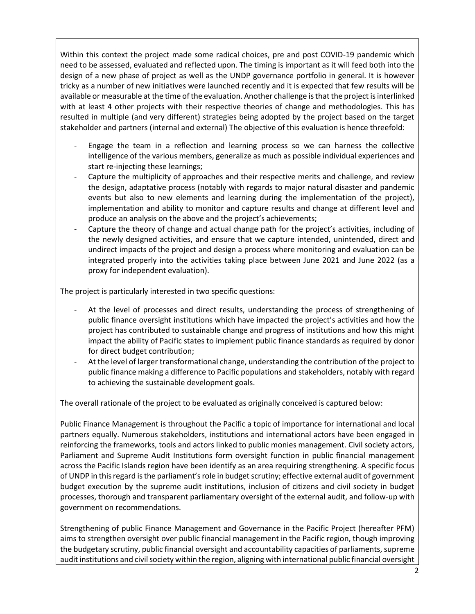Within this context the project made some radical choices, pre and post COVID-19 pandemic which need to be assessed, evaluated and reflected upon. The timing is important as it will feed both into the design of a new phase of project as well as the UNDP governance portfolio in general. It is however tricky as a number of new initiatives were launched recently and it is expected that few results will be available or measurable at the time of the evaluation. Another challenge is that the project is interlinked with at least 4 other projects with their respective theories of change and methodologies. This has resulted in multiple (and very different) strategies being adopted by the project based on the target stakeholder and partners (internal and external) The objective of this evaluation is hence threefold:

- Engage the team in a reflection and learning process so we can harness the collective intelligence of the various members, generalize as much as possible individual experiences and start re-injecting these learnings;
- Capture the multiplicity of approaches and their respective merits and challenge, and review the design, adaptative process (notably with regards to major natural disaster and pandemic events but also to new elements and learning during the implementation of the project), implementation and ability to monitor and capture results and change at different level and produce an analysis on the above and the project's achievements;
- Capture the theory of change and actual change path for the project's activities, including of the newly designed activities, and ensure that we capture intended, unintended, direct and undirect impacts of the project and design a process where monitoring and evaluation can be integrated properly into the activities taking place between June 2021 and June 2022 (as a proxy for independent evaluation).

The project is particularly interested in two specific questions:

- At the level of processes and direct results, understanding the process of strengthening of public finance oversight institutions which have impacted the project's activities and how the project has contributed to sustainable change and progress of institutions and how this might impact the ability of Pacific states to implement public finance standards as required by donor for direct budget contribution;
- At the level of larger transformational change, understanding the contribution of the project to public finance making a difference to Pacific populations and stakeholders, notably with regard to achieving the sustainable development goals.

The overall rationale of the project to be evaluated as originally conceived is captured below:

Public Finance Management is throughout the Pacific a topic of importance for international and local partners equally. Numerous stakeholders, institutions and international actors have been engaged in reinforcing the frameworks, tools and actors linked to public monies management. Civil society actors, Parliament and Supreme Audit Institutions form oversight function in public financial management across the Pacific Islands region have been identify as an area requiring strengthening. A specific focus of UNDP in this regard is the parliament's role in budget scrutiny; effective external audit of government budget execution by the supreme audit institutions, inclusion of citizens and civil society in budget processes, thorough and transparent parliamentary oversight of the external audit, and follow-up with government on recommendations.

Strengthening of public Finance Management and Governance in the Pacific Project (hereafter PFM) aims to strengthen oversight over public financial management in the Pacific region, though improving the budgetary scrutiny, public financial oversight and accountability capacities of parliaments, supreme audit institutions and civil society within the region, aligning with international public financial oversight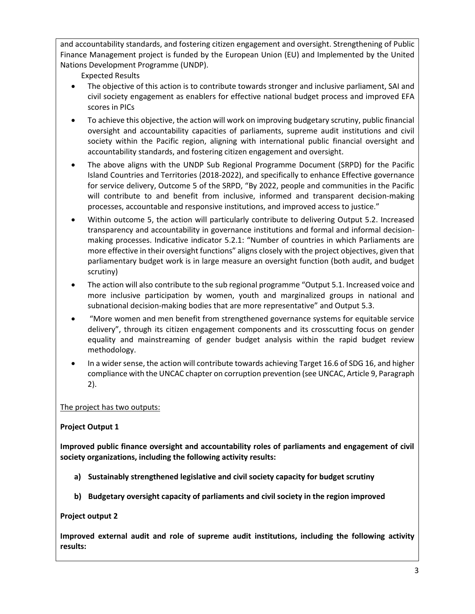and accountability standards, and fostering citizen engagement and oversight. Strengthening of Public Finance Management project is funded by the European Union (EU) and Implemented by the United Nations Development Programme (UNDP).

Expected Results

- The objective of this action is to contribute towards stronger and inclusive parliament, SAI and civil society engagement as enablers for effective national budget process and improved EFA scores in PICs
- To achieve this objective, the action will work on improving budgetary scrutiny, public financial oversight and accountability capacities of parliaments, supreme audit institutions and civil society within the Pacific region, aligning with international public financial oversight and accountability standards, and fostering citizen engagement and oversight.
- The above aligns with the UNDP Sub Regional Programme Document (SRPD) for the Pacific Island Countries and Territories (2018-2022), and specifically to enhance Effective governance for service delivery, Outcome 5 of the SRPD, "By 2022, people and communities in the Pacific will contribute to and benefit from inclusive, informed and transparent decision-making processes, accountable and responsive institutions, and improved access to justice."
- Within outcome 5, the action will particularly contribute to delivering Output 5.2. Increased transparency and accountability in governance institutions and formal and informal decisionmaking processes. Indicative indicator 5.2.1: "Number of countries in which Parliaments are more effective in their oversight functions" aligns closely with the project objectives, given that parliamentary budget work is in large measure an oversight function (both audit, and budget scrutiny)
- The action will also contribute to the sub regional programme "Output 5.1. Increased voice and more inclusive participation by women, youth and marginalized groups in national and subnational decision-making bodies that are more representative" and Output 5.3.
- "More women and men benefit from strengthened governance systems for equitable service delivery", through its citizen engagement components and its crosscutting focus on gender equality and mainstreaming of gender budget analysis within the rapid budget review methodology.
- In a wider sense, the action will contribute towards achieving Target 16.6 of SDG 16, and higher compliance with the UNCAC chapter on corruption prevention (see UNCAC, Article 9, Paragraph 2).

The project has two outputs:

# **Project Output 1**

**Improved public finance oversight and accountability roles of parliaments and engagement of civil society organizations, including the following activity results:**

- **a) Sustainably strengthened legislative and civil society capacity for budget scrutiny**
- **b) Budgetary oversight capacity of parliaments and civil society in the region improved**

# **Project output 2**

**Improved external audit and role of supreme audit institutions, including the following activity results:**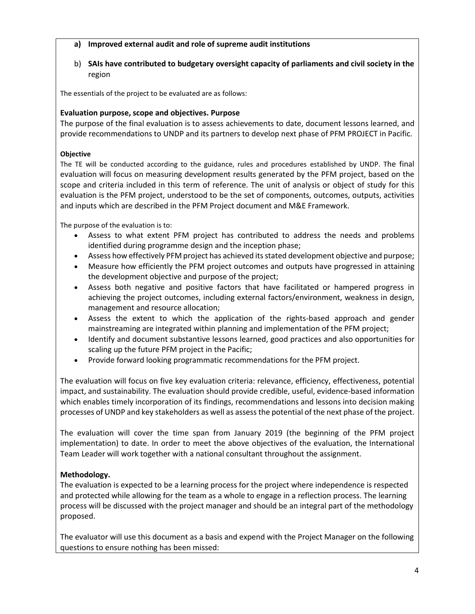## **a) Improved external audit and role of supreme audit institutions**

b) **SAIs have contributed to budgetary oversight capacity of parliaments and civil society in the**  region

The essentials of the project to be evaluated are as follows:

## **Evaluation purpose, scope and objectives. Purpose**

The purpose of the final evaluation is to assess achievements to date, document lessons learned, and provide recommendations to UNDP and its partners to develop next phase of PFM PROJECT in Pacific.

#### **Objective**

The TE will be conducted according to the guidance, rules and procedures established by UNDP. The final evaluation will focus on measuring development results generated by the PFM project, based on the scope and criteria included in this term of reference. The unit of analysis or object of study for this evaluation is the PFM project, understood to be the set of components, outcomes, outputs, activities and inputs which are described in the PFM Project document and M&E Framework.

The purpose of the evaluation is to:

- Assess to what extent PFM project has contributed to address the needs and problems identified during programme design and the inception phase;
- Assess how effectively PFM project has achieved its stated development objective and purpose;
- Measure how efficiently the PFM project outcomes and outputs have progressed in attaining the development objective and purpose of the project;
- Assess both negative and positive factors that have facilitated or hampered progress in achieving the project outcomes, including external factors/environment, weakness in design, management and resource allocation;
- Assess the extent to which the application of the rights-based approach and gender mainstreaming are integrated within planning and implementation of the PFM project;
- Identify and document substantive lessons learned, good practices and also opportunities for scaling up the future PFM project in the Pacific;
- Provide forward looking programmatic recommendations for the PFM project.

The evaluation will focus on five key evaluation criteria: relevance, efficiency, effectiveness, potential impact, and sustainability. The evaluation should provide credible, useful, evidence-based information which enables timely incorporation of its findings, recommendations and lessons into decision making processes of UNDP and key stakeholders as well as assess the potential of the next phase of the project.

The evaluation will cover the time span from January 2019 (the beginning of the PFM project implementation) to date. In order to meet the above objectives of the evaluation, the International Team Leader will work together with a national consultant throughout the assignment.

## **Methodology.**

The evaluation is expected to be a learning process for the project where independence is respected and protected while allowing for the team as a whole to engage in a reflection process. The learning process will be discussed with the project manager and should be an integral part of the methodology proposed.

The evaluator will use this document as a basis and expend with the Project Manager on the following questions to ensure nothing has been missed: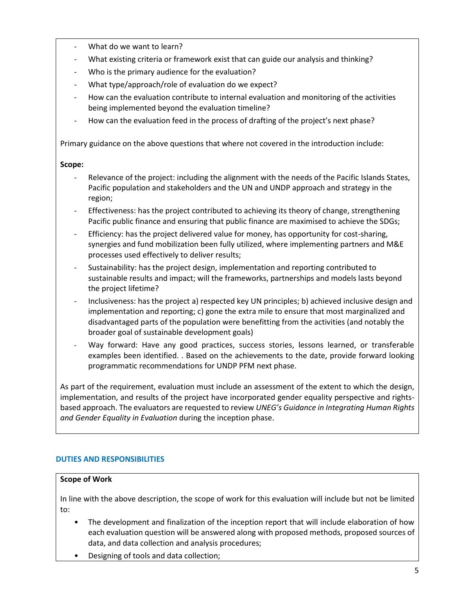- What do we want to learn?
- What existing criteria or framework exist that can guide our analysis and thinking?
- Who is the primary audience for the evaluation?
- What type/approach/role of evaluation do we expect?
- How can the evaluation contribute to internal evaluation and monitoring of the activities being implemented beyond the evaluation timeline?
- How can the evaluation feed in the process of drafting of the project's next phase?

Primary guidance on the above questions that where not covered in the introduction include:

# **Scope:**

- Relevance of the project: including the alignment with the needs of the Pacific Islands States, Pacific population and stakeholders and the UN and UNDP approach and strategy in the region;
- Effectiveness: has the project contributed to achieving its theory of change, strengthening Pacific public finance and ensuring that public finance are maximised to achieve the SDGs;
- Efficiency: has the project delivered value for money, has opportunity for cost-sharing, synergies and fund mobilization been fully utilized, where implementing partners and M&E processes used effectively to deliver results;
- Sustainability: has the project design, implementation and reporting contributed to sustainable results and impact; will the frameworks, partnerships and models lasts beyond the project lifetime?
- Inclusiveness: has the project a) respected key UN principles; b) achieved inclusive design and implementation and reporting; c) gone the extra mile to ensure that most marginalized and disadvantaged parts of the population were benefitting from the activities (and notably the broader goal of sustainable development goals)
- Way forward: Have any good practices, success stories, lessons learned, or transferable examples been identified. . Based on the achievements to the date, provide forward looking programmatic recommendations for UNDP PFM next phase.

As part of the requirement, evaluation must include an assessment of the extent to which the design, implementation, and results of the project have incorporated gender equality perspective and rightsbased approach. The evaluators are requested to review *UNEG's Guidance in Integrating Human Rights and Gender Equality in Evaluation* during the inception phase.

# **DUTIES AND RESPONSIBILITIES**

## **Scope of Work**

In line with the above description, the scope of work for this evaluation will include but not be limited to:

- The development and finalization of the inception report that will include elaboration of how each evaluation question will be answered along with proposed methods, proposed sources of data, and data collection and analysis procedures;
- Designing of tools and data collection;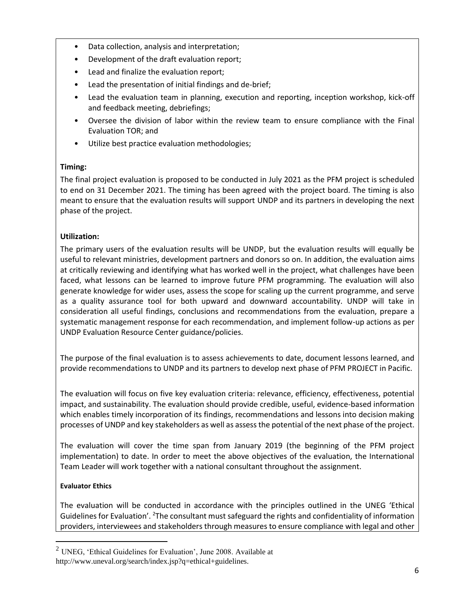- Data collection, analysis and interpretation;
- Development of the draft evaluation report;
- Lead and finalize the evaluation report;
- Lead the presentation of initial findings and de-brief;
- Lead the evaluation team in planning, execution and reporting, inception workshop, kick-off and feedback meeting, debriefings;
- Oversee the division of labor within the review team to ensure compliance with the Final Evaluation TOR; and
- Utilize best practice evaluation methodologies;

# **Timing:**

The final project evaluation is proposed to be conducted in July 2021 as the PFM project is scheduled to end on 31 December 2021. The timing has been agreed with the project board. The timing is also meant to ensure that the evaluation results will support UNDP and its partners in developing the next phase of the project.

# **Utilization:**

The primary users of the evaluation results will be UNDP, but the evaluation results will equally be useful to relevant ministries, development partners and donors so on. In addition, the evaluation aims at critically reviewing and identifying what has worked well in the project, what challenges have been faced, what lessons can be learned to improve future PFM programming. The evaluation will also generate knowledge for wider uses, assess the scope for scaling up the current programme, and serve as a quality assurance tool for both upward and downward accountability. UNDP will take in consideration all useful findings, conclusions and recommendations from the evaluation, prepare a systematic management response for each recommendation, and implement follow-up actions as per UNDP Evaluation Resource Center guidance/policies.

The purpose of the final evaluation is to assess achievements to date, document lessons learned, and provide recommendations to UNDP and its partners to develop next phase of PFM PROJECT in Pacific.

The evaluation will focus on five key evaluation criteria: relevance, efficiency, effectiveness, potential impact, and sustainability. The evaluation should provide credible, useful, evidence-based information which enables timely incorporation of its findings, recommendations and lessons into decision making processes of UNDP and key stakeholders as well as assess the potential of the next phase of the project.

The evaluation will cover the time span from January 2019 (the beginning of the PFM project implementation) to date. In order to meet the above objectives of the evaluation, the International Team Leader will work together with a national consultant throughout the assignment.

# **Evaluator Ethics**

The evaluation will be conducted in accordance with the principles outlined in the UNEG 'Ethical Guidelines for Evaluation'. <sup>2</sup>The consultant must safeguard the rights and confidentiality of information providers, interviewees and stakeholders through measures to ensure compliance with legal and other

 $<sup>2</sup>$  UNEG, 'Ethical Guidelines for Evaluation', June 2008. Available at</sup> http://www.uneval.org/search/index.jsp?q=ethical+guidelines.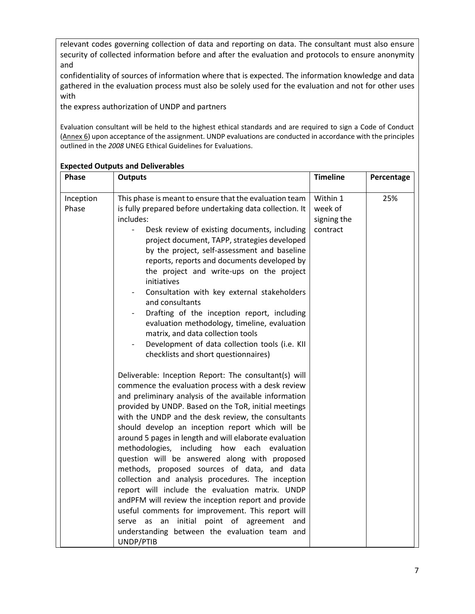relevant codes governing collection of data and reporting on data. The consultant must also ensure security of collected information before and after the evaluation and protocols to ensure anonymity and

confidentiality of sources of information where that is expected. The information knowledge and data gathered in the evaluation process must also be solely used for the evaluation and not for other uses with

the express authorization of UNDP and partners

Evaluation consultant will be held to the highest ethical standards and are required to sign a Code of Conduct (Annex 6) upon acceptance of the assignment. UNDP evaluations are conducted in accordance with the principles outlined in the *2008* UNEG Ethical Guidelines for Evaluations.

| Phase              | <b>Outputs</b>                                                                                                                                                                                                                                                                                                                                                                                                                                                                                                                                                                                                                                                                                                                                                                                                                                                                                                                                                                                                                                                                                                                                                                                                                                                                                                                                                                                                                                                                                                                              | <b>Timeline</b>                                | Percentage |
|--------------------|---------------------------------------------------------------------------------------------------------------------------------------------------------------------------------------------------------------------------------------------------------------------------------------------------------------------------------------------------------------------------------------------------------------------------------------------------------------------------------------------------------------------------------------------------------------------------------------------------------------------------------------------------------------------------------------------------------------------------------------------------------------------------------------------------------------------------------------------------------------------------------------------------------------------------------------------------------------------------------------------------------------------------------------------------------------------------------------------------------------------------------------------------------------------------------------------------------------------------------------------------------------------------------------------------------------------------------------------------------------------------------------------------------------------------------------------------------------------------------------------------------------------------------------------|------------------------------------------------|------------|
| Inception<br>Phase | This phase is meant to ensure that the evaluation team<br>is fully prepared before undertaking data collection. It<br>includes:<br>Desk review of existing documents, including<br>$\overline{\phantom{0}}$<br>project document, TAPP, strategies developed<br>by the project, self-assessment and baseline<br>reports, reports and documents developed by<br>the project and write-ups on the project<br>initiatives<br>Consultation with key external stakeholders<br>and consultants<br>Drafting of the inception report, including<br>evaluation methodology, timeline, evaluation<br>matrix, and data collection tools<br>Development of data collection tools (i.e. KII<br>checklists and short questionnaires)<br>Deliverable: Inception Report: The consultant(s) will<br>commence the evaluation process with a desk review<br>and preliminary analysis of the available information<br>provided by UNDP. Based on the ToR, initial meetings<br>with the UNDP and the desk review, the consultants<br>should develop an inception report which will be<br>around 5 pages in length and will elaborate evaluation<br>methodologies, including how each evaluation<br>question will be answered along with proposed<br>methods, proposed sources of data, and data<br>collection and analysis procedures. The inception<br>report will include the evaluation matrix. UNDP<br>andPFM will review the inception report and provide<br>useful comments for improvement. This report will<br>serve as an initial point of agreement and | Within 1<br>week of<br>signing the<br>contract | 25%        |
|                    | understanding between the evaluation team and<br>UNDP/PTIB                                                                                                                                                                                                                                                                                                                                                                                                                                                                                                                                                                                                                                                                                                                                                                                                                                                                                                                                                                                                                                                                                                                                                                                                                                                                                                                                                                                                                                                                                  |                                                |            |

## **Expected Outputs and Deliverables**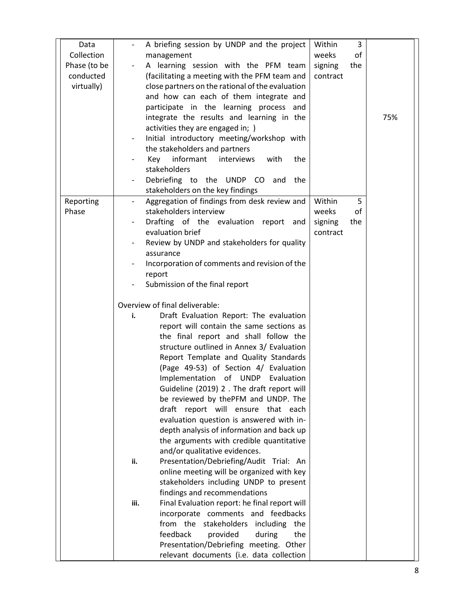| A briefing session by UNDP and the project<br>Data                                    | Within   | 3   |     |
|---------------------------------------------------------------------------------------|----------|-----|-----|
| Collection<br>management                                                              | weeks    | of  |     |
| Phase (to be<br>A learning session with the PFM team                                  | signing  | the |     |
| conducted<br>(facilitating a meeting with the PFM team and                            | contract |     |     |
| virtually)<br>close partners on the rational of the evaluation                        |          |     |     |
| and how can each of them integrate and                                                |          |     |     |
| participate in the learning process and                                               |          |     |     |
| integrate the results and learning in the                                             |          |     | 75% |
| activities they are engaged in; )                                                     |          |     |     |
| Initial introductory meeting/workshop with                                            |          |     |     |
| the stakeholders and partners                                                         |          |     |     |
| informant<br>Key<br>interviews<br>with<br>the                                         |          |     |     |
| stakeholders                                                                          |          |     |     |
| Debriefing to the UNDP CO<br>and<br>the                                               |          |     |     |
| stakeholders on the key findings                                                      |          |     |     |
| Aggregation of findings from desk review and<br>Reporting<br>$\overline{\phantom{a}}$ | Within   | 5   |     |
| Phase<br>stakeholders interview                                                       | weeks    | of  |     |
| Drafting of the evaluation report and                                                 | signing  | the |     |
| evaluation brief                                                                      | contract |     |     |
| Review by UNDP and stakeholders for quality<br>assurance                              |          |     |     |
| Incorporation of comments and revision of the                                         |          |     |     |
| report                                                                                |          |     |     |
| Submission of the final report                                                        |          |     |     |
|                                                                                       |          |     |     |
| Overview of final deliverable:                                                        |          |     |     |
| Draft Evaluation Report: The evaluation<br>i.                                         |          |     |     |
| report will contain the same sections as                                              |          |     |     |
| the final report and shall follow the                                                 |          |     |     |
| structure outlined in Annex 3/ Evaluation                                             |          |     |     |
| Report Template and Quality Standards                                                 |          |     |     |
| (Page 49-53) of Section 4/ Evaluation                                                 |          |     |     |
| Implementation of UNDP Evaluation                                                     |          |     |     |
| Guideline (2019) 2. The draft report will                                             |          |     |     |
| be reviewed by thePFM and UNDP. The                                                   |          |     |     |
| draft report will ensure that each                                                    |          |     |     |
| evaluation question is answered with in-                                              |          |     |     |
| depth analysis of information and back up                                             |          |     |     |
| the arguments with credible quantitative                                              |          |     |     |
| and/or qualitative evidences.                                                         |          |     |     |
| Presentation/Debriefing/Audit Trial: An<br>ii.                                        |          |     |     |
| online meeting will be organized with key<br>stakeholders including UNDP to present   |          |     |     |
| findings and recommendations                                                          |          |     |     |
| Final Evaluation report: he final report will<br>iii.                                 |          |     |     |
| incorporate comments and feedbacks                                                    |          |     |     |
| from the<br>stakeholders including the                                                |          |     |     |
| feedback<br>provided<br>the<br>during                                                 |          |     |     |
| Presentation/Debriefing meeting. Other                                                |          |     |     |
| relevant documents (i.e. data collection                                              |          |     |     |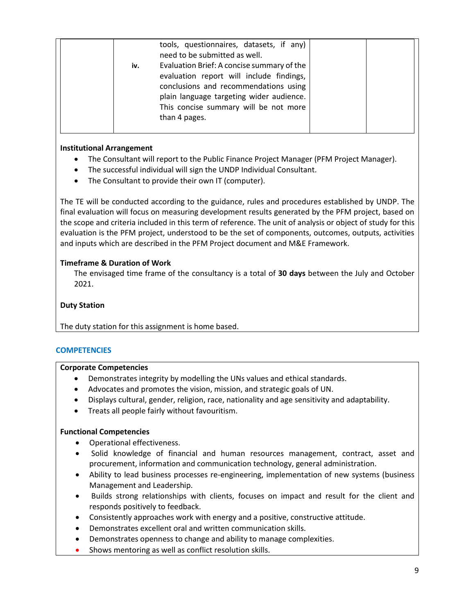|  |     | tools, questionnaires, datasets, if any)<br>need to be submitted as well.         |  |  |
|--|-----|-----------------------------------------------------------------------------------|--|--|
|  | iv. | Evaluation Brief: A concise summary of the                                        |  |  |
|  |     | evaluation report will include findings,<br>conclusions and recommendations using |  |  |
|  |     | plain language targeting wider audience.                                          |  |  |
|  |     | This concise summary will be not more                                             |  |  |
|  |     | than 4 pages.                                                                     |  |  |
|  |     |                                                                                   |  |  |

## **Institutional Arrangement**

- The Consultant will report to the Public Finance Project Manager (PFM Project Manager).
- The successful individual will sign the UNDP Individual Consultant.
- The Consultant to provide their own IT (computer).

The TE will be conducted according to the guidance, rules and procedures established by UNDP. The final evaluation will focus on measuring development results generated by the PFM project, based on the scope and criteria included in this term of reference. The unit of analysis or object of study for this evaluation is the PFM project, understood to be the set of components, outcomes, outputs, activities and inputs which are described in the PFM Project document and M&E Framework.

## **Timeframe & Duration of Work**

The envisaged time frame of the consultancy is a total of **30 days** between the July and October 2021.

## **Duty Station**

The duty station for this assignment is home based.

## **COMPETENCIES**

## **Corporate Competencies**

- Demonstrates integrity by modelling the UNs values and ethical standards.
- Advocates and promotes the vision, mission, and strategic goals of UN.
- Displays cultural, gender, religion, race, nationality and age sensitivity and adaptability.
- Treats all people fairly without favouritism.

## **Functional Competencies**

- Operational effectiveness.
- Solid knowledge of financial and human resources management, contract, asset and procurement, information and communication technology, general administration.
- Ability to lead business processes re-engineering, implementation of new systems (business Management and Leadership.
- Builds strong relationships with clients, focuses on impact and result for the client and responds positively to feedback.
- Consistently approaches work with energy and a positive, constructive attitude.
- Demonstrates excellent oral and written communication skills.
- Demonstrates openness to change and ability to manage complexities.
- Shows mentoring as well as conflict resolution skills.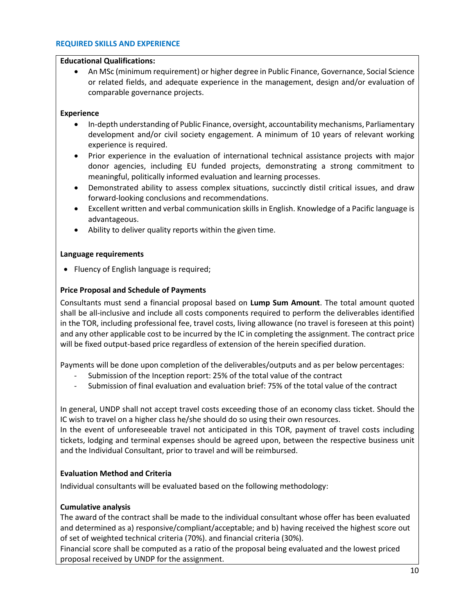#### **REQUIRED SKILLS AND EXPERIENCE**

## **Educational Qualifications:**

• An MSc (minimum requirement) or higher degree in Public Finance, Governance, Social Science or related fields, and adequate experience in the management, design and/or evaluation of comparable governance projects.

## **Experience**

- In-depth understanding of Public Finance, oversight, accountability mechanisms, Parliamentary development and/or civil society engagement. A minimum of 10 years of relevant working experience is required.
- Prior experience in the evaluation of international technical assistance projects with major donor agencies, including EU funded projects, demonstrating a strong commitment to meaningful, politically informed evaluation and learning processes.
- Demonstrated ability to assess complex situations, succinctly distil critical issues, and draw forward-looking conclusions and recommendations.
- Excellent written and verbal communication skills in English. Knowledge of a Pacific language is advantageous.
- Ability to deliver quality reports within the given time.

## **Language requirements**

• Fluency of English language is required;

## **Price Proposal and Schedule of Payments**

Consultants must send a financial proposal based on **Lump Sum Amount**. The total amount quoted shall be all-inclusive and include all costs components required to perform the deliverables identified in the TOR, including professional fee, travel costs, living allowance (no travel is foreseen at this point) and any other applicable cost to be incurred by the IC in completing the assignment. The contract price will be fixed output-based price regardless of extension of the herein specified duration.

Payments will be done upon completion of the deliverables/outputs and as per below percentages:

- Submission of the Inception report: 25% of the total value of the contract
- Submission of final evaluation and evaluation brief: 75% of the total value of the contract

In general, UNDP shall not accept travel costs exceeding those of an economy class ticket. Should the IC wish to travel on a higher class he/she should do so using their own resources.

In the event of unforeseeable travel not anticipated in this TOR, payment of travel costs including tickets, lodging and terminal expenses should be agreed upon, between the respective business unit and the Individual Consultant, prior to travel and will be reimbursed.

# **Evaluation Method and Criteria**

Individual consultants will be evaluated based on the following methodology:

## **Cumulative analysis**

The award of the contract shall be made to the individual consultant whose offer has been evaluated and determined as a) responsive/compliant/acceptable; and b) having received the highest score out of set of weighted technical criteria (70%). and financial criteria (30%).

Financial score shall be computed as a ratio of the proposal being evaluated and the lowest priced proposal received by UNDP for the assignment.